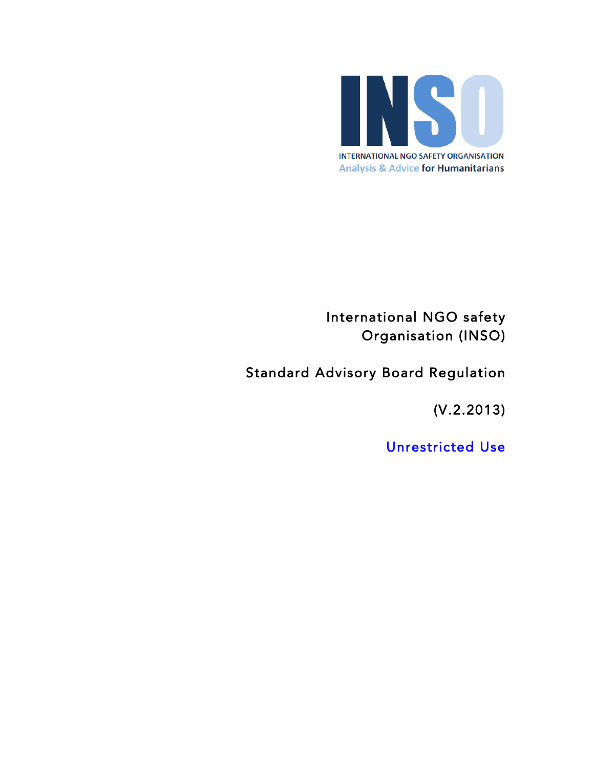

International NGO safety Organisation (INSO)

Standard Advisory Board Regulation

(V.2.2013)

Unrestricted Use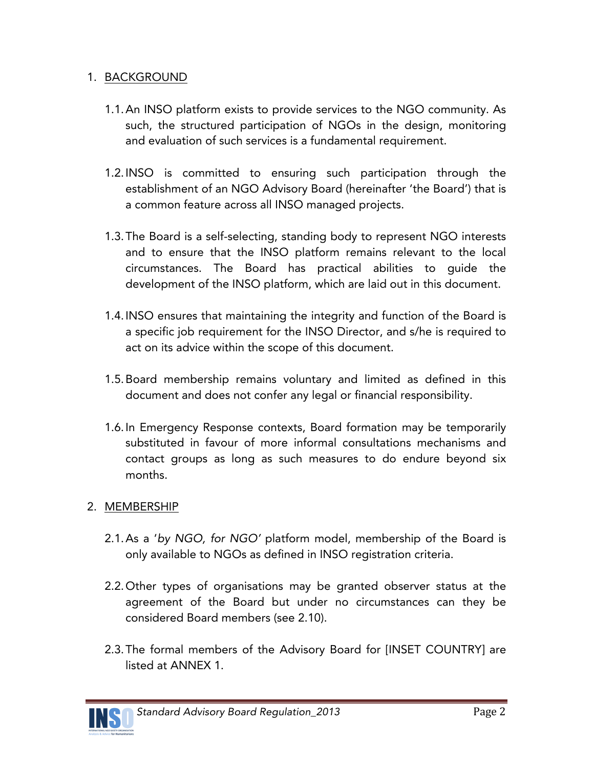#### 1. BACKGROUND

- 1.1.An INSO platform exists to provide services to the NGO community. As such, the structured participation of NGOs in the design, monitoring and evaluation of such services is a fundamental requirement.
- 1.2.INSO is committed to ensuring such participation through the establishment of an NGO Advisory Board (hereinafter 'the Board') that is a common feature across all INSO managed projects.
- 1.3.The Board is a self-selecting, standing body to represent NGO interests and to ensure that the INSO platform remains relevant to the local circumstances. The Board has practical abilities to guide the development of the INSO platform, which are laid out in this document.
- 1.4.INSO ensures that maintaining the integrity and function of the Board is a specific job requirement for the INSO Director, and s/he is required to act on its advice within the scope of this document.
- 1.5.Board membership remains voluntary and limited as defined in this document and does not confer any legal or financial responsibility.
- 1.6.In Emergency Response contexts, Board formation may be temporarily substituted in favour of more informal consultations mechanisms and contact groups as long as such measures to do endure beyond six months.

#### 2. MEMBERSHIP

- 2.1.As a '*by NGO, for NGO'* platform model, membership of the Board is only available to NGOs as defined in INSO registration criteria.
- 2.2.Other types of organisations may be granted observer status at the agreement of the Board but under no circumstances can they be considered Board members (see 2.10).
- 2.3.The formal members of the Advisory Board for [INSET COUNTRY] are listed at ANNEX 1.

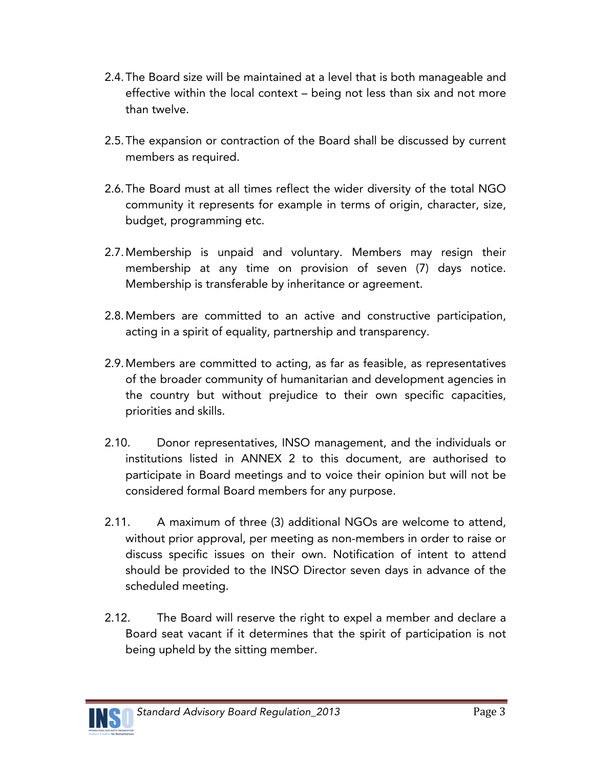- 2.4.The Board size will be maintained at a level that is both manageable and effective within the local context – being not less than six and not more than twelve.
- 2.5.The expansion or contraction of the Board shall be discussed by current members as required.
- 2.6.The Board must at all times reflect the wider diversity of the total NGO community it represents for example in terms of origin, character, size, budget, programming etc.
- 2.7.Membership is unpaid and voluntary. Members may resign their membership at any time on provision of seven (7) days notice. Membership is transferable by inheritance or agreement.
- 2.8.Members are committed to an active and constructive participation, acting in a spirit of equality, partnership and transparency.
- 2.9.Members are committed to acting, as far as feasible, as representatives of the broader community of humanitarian and development agencies in the country but without prejudice to their own specific capacities, priorities and skills.
- 2.10. Donor representatives, INSO management, and the individuals or institutions listed in ANNEX 2 to this document, are authorised to participate in Board meetings and to voice their opinion but will not be considered formal Board members for any purpose.
- 2.11. A maximum of three (3) additional NGOs are welcome to attend, without prior approval, per meeting as non-members in order to raise or discuss specific issues on their own. Notification of intent to attend should be provided to the INSO Director seven days in advance of the scheduled meeting.
- 2.12. The Board will reserve the right to expel a member and declare a Board seat vacant if it determines that the spirit of participation is not being upheld by the sitting member.

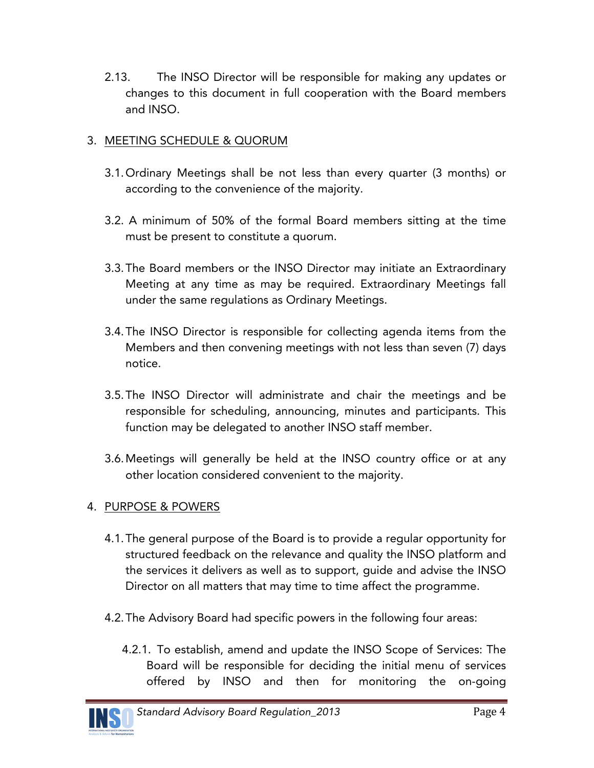2.13. The INSO Director will be responsible for making any updates or changes to this document in full cooperation with the Board members and INSO.

### 3. MEETING SCHEDULE & QUORUM

- 3.1.Ordinary Meetings shall be not less than every quarter (3 months) or according to the convenience of the majority.
- 3.2. A minimum of 50% of the formal Board members sitting at the time must be present to constitute a quorum.
- 3.3.The Board members or the INSO Director may initiate an Extraordinary Meeting at any time as may be required. Extraordinary Meetings fall under the same regulations as Ordinary Meetings.
- 3.4.The INSO Director is responsible for collecting agenda items from the Members and then convening meetings with not less than seven (7) days notice.
- 3.5.The INSO Director will administrate and chair the meetings and be responsible for scheduling, announcing, minutes and participants. This function may be delegated to another INSO staff member.
- 3.6.Meetings will generally be held at the INSO country office or at any other location considered convenient to the majority.

#### 4. PURPOSE & POWERS

- 4.1.The general purpose of the Board is to provide a regular opportunity for structured feedback on the relevance and quality the INSO platform and the services it delivers as well as to support, guide and advise the INSO Director on all matters that may time to time affect the programme.
- 4.2.The Advisory Board had specific powers in the following four areas:
	- 4.2.1. To establish, amend and update the INSO Scope of Services: The Board will be responsible for deciding the initial menu of services offered by INSO and then for monitoring the on-going

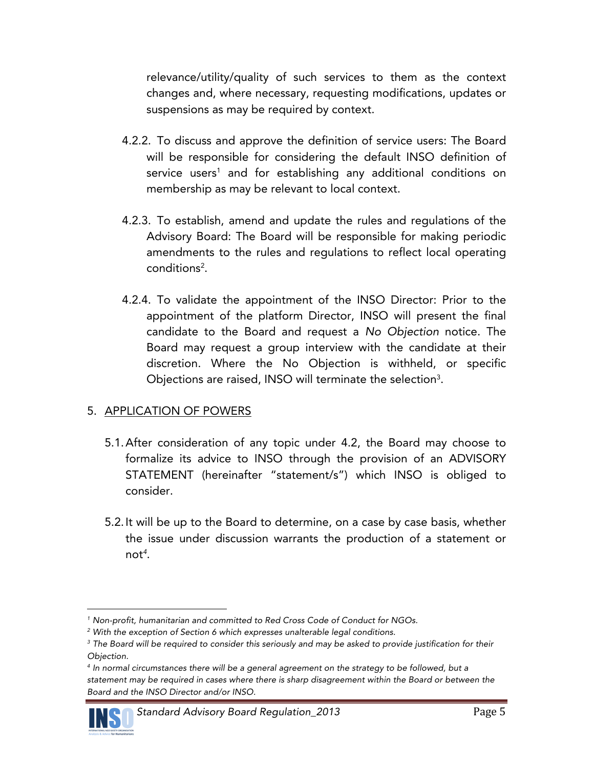relevance/utility/quality of such services to them as the context changes and, where necessary, requesting modifications, updates or suspensions as may be required by context.

- 4.2.2. To discuss and approve the definition of service users: The Board will be responsible for considering the default INSO definition of service users<sup>1</sup> and for establishing any additional conditions on membership as may be relevant to local context.
- 4.2.3. To establish, amend and update the rules and regulations of the Advisory Board: The Board will be responsible for making periodic amendments to the rules and regulations to reflect local operating conditions<sup>2</sup>.
- 4.2.4. To validate the appointment of the INSO Director: Prior to the appointment of the platform Director, INSO will present the final candidate to the Board and request a *No Objection* notice. The Board may request a group interview with the candidate at their discretion. Where the No Objection is withheld, or specific Objections are raised, INSO will terminate the selection $3$ .

#### 5. APPLICATION OF POWERS

- 5.1.After consideration of any topic under 4.2, the Board may choose to formalize its advice to INSO through the provision of an ADVISORY STATEMENT (hereinafter "statement/s") which INSO is obliged to consider.
- 5.2.It will be up to the Board to determine, on a case by case basis, whether the issue under discussion warrants the production of a statement or not*<sup>4</sup>* .

*<sup>4</sup> In normal circumstances there will be a general agreement on the strategy to be followed, but a statement may be required in cases where there is sharp disagreement within the Board or between the Board and the INSO Director and/or INSO.*



 $\overline{a}$ 

*<sup>1</sup> Non-profit, humanitarian and committed to Red Cross Code of Conduct for NGOs.* 

*<sup>2</sup> With the exception of Section 6 which expresses unalterable legal conditions.* 

*<sup>3</sup> The Board will be required to consider this seriously and may be asked to provide justification for their Objection.*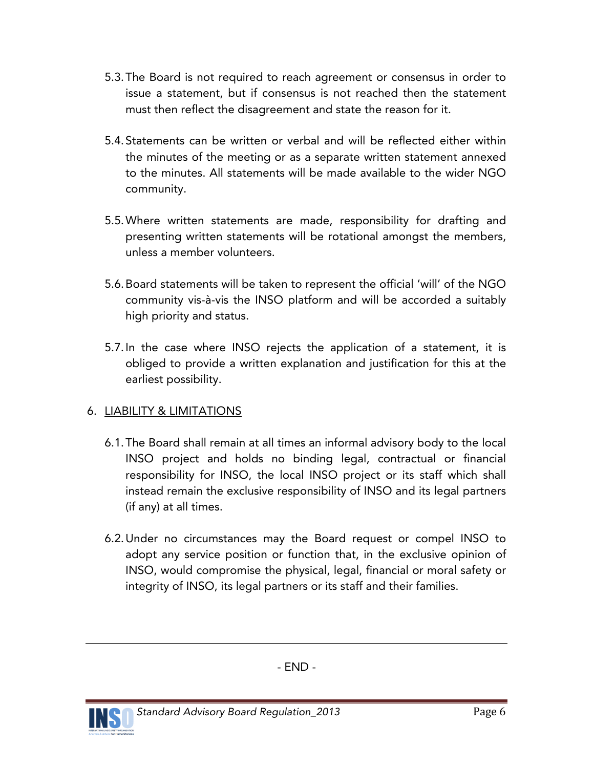- 5.3.The Board is not required to reach agreement or consensus in order to issue a statement, but if consensus is not reached then the statement must then reflect the disagreement and state the reason for it.
- 5.4.Statements can be written or verbal and will be reflected either within the minutes of the meeting or as a separate written statement annexed to the minutes. All statements will be made available to the wider NGO community.
- 5.5.Where written statements are made, responsibility for drafting and presenting written statements will be rotational amongst the members, unless a member volunteers.
- 5.6.Board statements will be taken to represent the official 'will' of the NGO community vis-à-vis the INSO platform and will be accorded a suitably high priority and status.
- 5.7.In the case where INSO rejects the application of a statement, it is obliged to provide a written explanation and justification for this at the earliest possibility.

## 6. LIABILITY & LIMITATIONS

- 6.1.The Board shall remain at all times an informal advisory body to the local INSO project and holds no binding legal, contractual or financial responsibility for INSO, the local INSO project or its staff which shall instead remain the exclusive responsibility of INSO and its legal partners (if any) at all times.
- 6.2.Under no circumstances may the Board request or compel INSO to adopt any service position or function that, in the exclusive opinion of INSO, would compromise the physical, legal, financial or moral safety or integrity of INSO, its legal partners or its staff and their families.



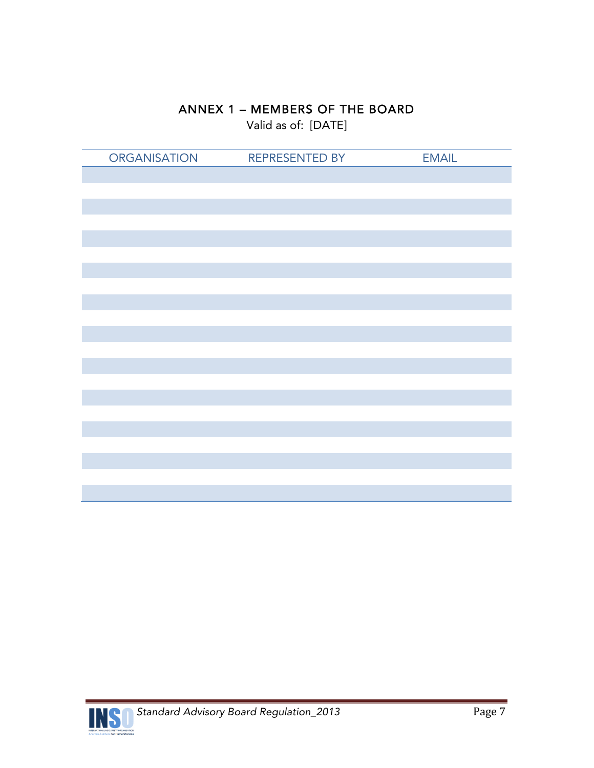## ANNEX 1 – MEMBERS OF THE BOARD

Valid as of: [DATE]

| <b>ORGANISATION</b> | <b>REPRESENTED BY</b> | <b>EMAIL</b> |
|---------------------|-----------------------|--------------|
|                     |                       |              |
|                     |                       |              |
|                     |                       |              |
|                     |                       |              |
|                     |                       |              |
|                     |                       |              |
|                     |                       |              |
|                     |                       |              |
|                     |                       |              |
|                     |                       |              |
|                     |                       |              |
|                     |                       |              |
|                     |                       |              |
|                     |                       |              |
|                     |                       |              |
|                     |                       |              |
|                     |                       |              |
|                     |                       |              |
|                     |                       |              |
|                     |                       |              |